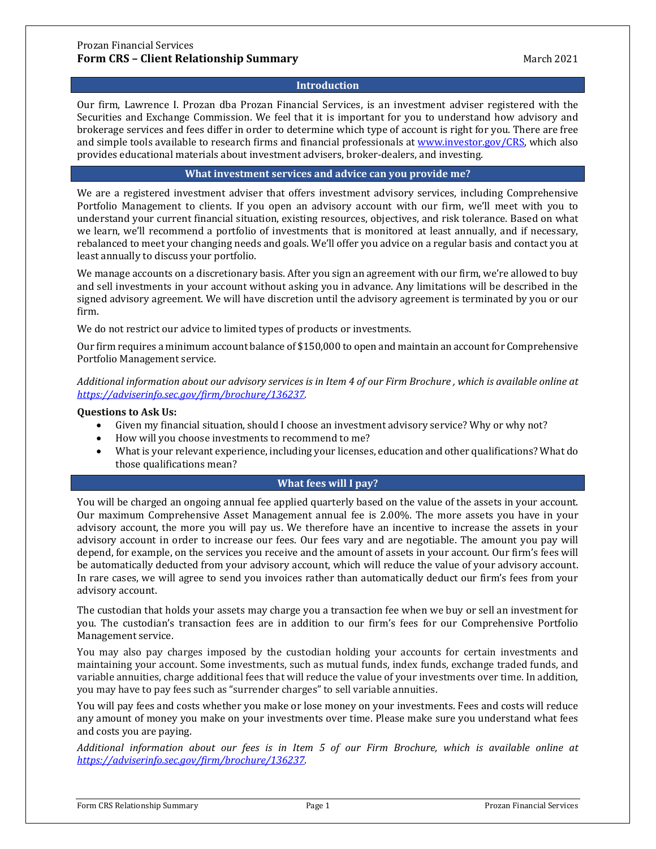### **Introduction**

Our firm, Lawrence I. Prozan dba Prozan Financial Services, is an investment adviser registered with the Securities and Exchange Commission. We feel that it is important for you to understand how advisory and brokerage services and fees differ in order to determine which type of account is right for you. There are free and simple tools available to research firms and financial professionals at [www.investor.gov/CRS,](http://www.investor.gov/CRS) which also provides educational materials about investment advisers, broker-dealers, and investing.

#### **What investment services and advice can you provide me?**

We are a registered investment adviser that offers investment advisory services, including Comprehensive Portfolio Management to clients. If you open an advisory account with our firm, we'll meet with you to understand your current financial situation, existing resources, objectives, and risk tolerance. Based on what we learn, we'll recommend a portfolio of investments that is monitored at least annually, and if necessary, rebalanced to meet your changing needs and goals. We'll offer you advice on a regular basis and contact you at least annually to discuss your portfolio.

We manage accounts on a discretionary basis. After you sign an agreement with our firm, we're allowed to buy and sell investments in your account without asking you in advance. Any limitations will be described in the signed advisory agreement. We will have discretion until the advisory agreement is terminated by you or our firm.

We do not restrict our advice to limited types of products or investments.

Our firm requires a minimum account balance of \$150,000 to open and maintain an account for Comprehensive Portfolio Management service.

*Additional information about our advisory services is in Item 4 of our Firm Brochure , which is available online at [https://adviserinfo.sec.gov/firm/brochure/136237.](https://adviserinfo.sec.gov/firm/brochure/136237)* 

### **Questions to Ask Us:**

- Given my financial situation, should I choose an investment advisory service? Why or why not?
- How will you choose investments to recommend to me?
- What is your relevant experience, including your licenses, education and other qualifications? What do those qualifications mean?

## **What fees will I pay?**

You will be charged an ongoing annual fee applied quarterly based on the value of the assets in your account. Our maximum Comprehensive Asset Management annual fee is 2.00%. The more assets you have in your advisory account, the more you will pay us. We therefore have an incentive to increase the assets in your advisory account in order to increase our fees. Our fees vary and are negotiable. The amount you pay will depend, for example, on the services you receive and the amount of assets in your account. Our firm's fees will be automatically deducted from your advisory account, which will reduce the value of your advisory account. In rare cases, we will agree to send you invoices rather than automatically deduct our firm's fees from your advisory account.

The custodian that holds your assets may charge you a transaction fee when we buy or sell an investment for you. The custodian's transaction fees are in addition to our firm's fees for our Comprehensive Portfolio Management service.

You may also pay charges imposed by the custodian holding your accounts for certain investments and maintaining your account. Some investments, such as mutual funds, index funds, exchange traded funds, and variable annuities, charge additional fees that will reduce the value of your investments over time. In addition, you may have to pay fees such as "surrender charges" to sell variable annuities.

You will pay fees and costs whether you make or lose money on your investments. Fees and costs will reduce any amount of money you make on your investments over time. Please make sure you understand what fees and costs you are paying.

*Additional information about our fees is in Item 5 of our Firm Brochure, which is available online at [https://adviserinfo.sec.gov/firm/brochure/136237.](https://adviserinfo.sec.gov/firm/brochure/136237)*